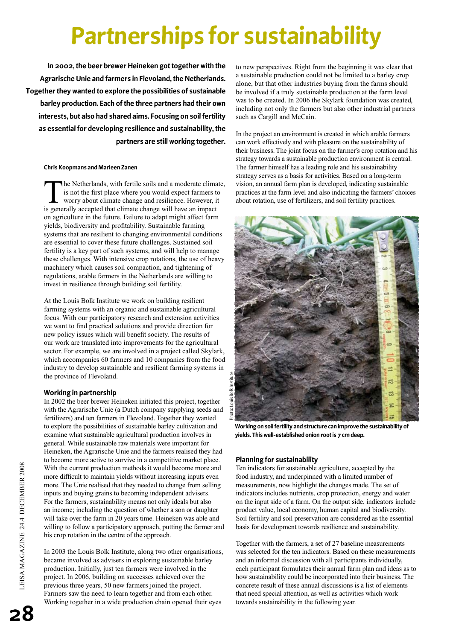# **Partnerships for sustainability**

**In 2002, the beer brewer Heineken got together with the Agrarische Unie and farmers in Flevoland, the Netherlands. Together they wanted to explore the possibilities of sustainable barley production. Each of the three partners had their own interests, but also had shared aims. Focusing on soil fertility as essential for developing resilience and sustainability, the partners are still working together.** 

#### **Chris Koopmans and Marleen Zanen**

The Netherlands, with fertile soils and a moderate climate,<br>is not the first place where you would expect farmers to<br>worry about climate change and resilience. However, it<br>is concrelly essented that climate change will hav is not the first place where you would expect farmers to worry about climate change and resilience. However, it is generally accepted that climate change will have an impact on agriculture in the future. Failure to adapt might affect farm yields, biodiversity and profitability. Sustainable farming systems that are resilient to changing environmental conditions are essential to cover these future challenges. Sustained soil fertility is a key part of such systems, and will help to manage these challenges. With intensive crop rotations, the use of heavy machinery which causes soil compaction, and tightening of regulations, arable farmers in the Netherlands are willing to invest in resilience through building soil fertility.

At the Louis Bolk Institute we work on building resilient farming systems with an organic and sustainable agricultural focus. With our participatory research and extension activities we want to find practical solutions and provide direction for new policy issues which will benefit society. The results of our work are translated into improvements for the agricultural sector. For example, we are involved in a project called Skylark, which accompanies 60 farmers and 10 companies from the food industry to develop sustainable and resilient farming systems in the province of Flevoland.

## **Working in partnership**

In 2002 the beer brewer Heineken initiated this project, together with the Agrarische Unie (a Dutch company supplying seeds and fertilizers) and ten farmers in Flevoland. Together they wanted to explore the possibilities of sustainable barley cultivation and examine what sustainable agricultural production involves in general. While sustainable raw materials were important for Heineken, the Agrarische Unie and the farmers realised they had to become more active to survive in a competitive market place. With the current production methods it would become more and more difficult to maintain yields without increasing inputs even more. The Unie realised that they needed to change from selling inputs and buying grains to becoming independent advisers. For the farmers, sustainability means not only ideals but also an income; including the question of whether a son or daughter will take over the farm in 20 years time. Heineken was able and willing to follow a participatory approach, putting the farmer and his crop rotation in the centre of the approach.

In 2003 the Louis Bolk Institute, along two other organisations, became involved as advisers in exploring sustainable barley production. Initially, just ten farmers were involved in the project. In 2006, building on successes achieved over the previous three years, 50 new farmers joined the project. Farmers saw the need to learn together and from each other. Working together in a wide production chain opened their eyes

to new perspectives. Right from the beginning it was clear that a sustainable production could not be limited to a barley crop alone, but that other industries buying from the farms should be involved if a truly sustainable production at the farm level was to be created. In 2006 the Skylark foundation was created, including not only the farmers but also other industrial partners such as Cargill and McCain.

In the project an environment is created in which arable farmers can work effectively and with pleasure on the sustainability of their business. The joint focus on the farmer's crop rotation and his strategy towards a sustainable production environment is central. The farmer himself has a leading role and his sustainability strategy serves as a basis for activities. Based on a long-term vision, an annual farm plan is developed, indicating sustainable practices at the farm level and also indicating the farmers' choices about rotation, use of fertilizers, and soil fertility practices.



**Working on soil fertility and structure can improve the sustainability of yields. This well-established onion root is 7 cm deep.**

## **Planning for sustainability**

Ten indicators for sustainable agriculture, accepted by the food industry, and underpinned with a limited number of measurements, now highlight the changes made. The set of indicators includes nutrients, crop protection, energy and water on the input side of a farm. On the output side, indicators include product value, local economy, human capital and biodiversity. Soil fertility and soil preservation are considered as the essential basis for development towards resilience and sustainability.

Together with the farmers, a set of 27 baseline measurements was selected for the ten indicators. Based on these measurements and an informal discussion with all participants individually, each participant formulates their annual farm plan and ideas as to how sustainability could be incorporated into their business. The concrete result of these annual discussions is a list of elements that need special attention, as well as activities which work towards sustainability in the following year.